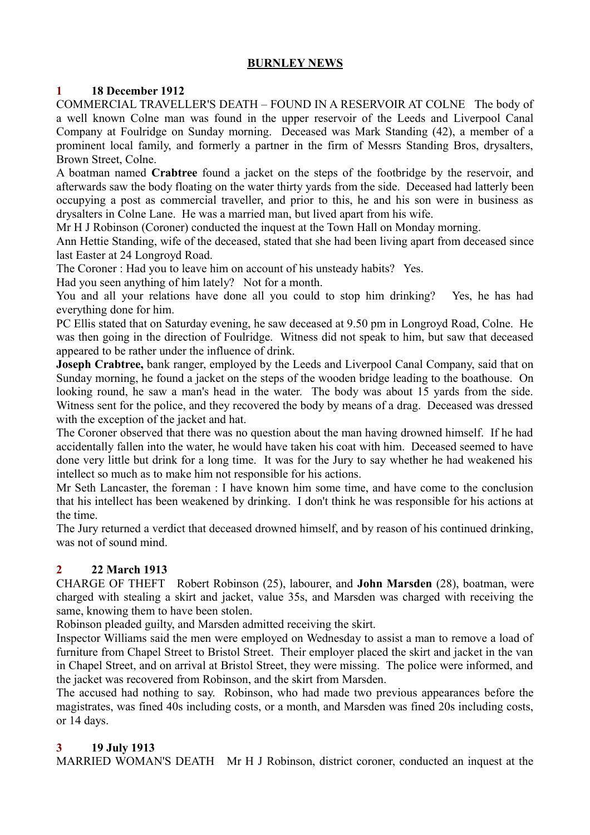## **BURNLEY NEWS**

## **1 18 December 1912**

COMMERCIAL TRAVELLER'S DEATH – FOUND IN A RESERVOIR AT COLNE The body of a well known Colne man was found in the upper reservoir of the Leeds and Liverpool Canal Company at Foulridge on Sunday morning. Deceased was Mark Standing (42), a member of a prominent local family, and formerly a partner in the firm of Messrs Standing Bros, drysalters, Brown Street, Colne.

A boatman named **Crabtree** found a jacket on the steps of the footbridge by the reservoir, and afterwards saw the body floating on the water thirty yards from the side. Deceased had latterly been occupying a post as commercial traveller, and prior to this, he and his son were in business as drysalters in Colne Lane. He was a married man, but lived apart from his wife.

Mr H J Robinson (Coroner) conducted the inquest at the Town Hall on Monday morning.

Ann Hettie Standing, wife of the deceased, stated that she had been living apart from deceased since last Easter at 24 Longroyd Road.

The Coroner : Had you to leave him on account of his unsteady habits? Yes.

Had you seen anything of him lately? Not for a month.

You and all your relations have done all you could to stop him drinking? Yes, he has had everything done for him.

PC Ellis stated that on Saturday evening, he saw deceased at 9.50 pm in Longroyd Road, Colne. He was then going in the direction of Foulridge. Witness did not speak to him, but saw that deceased appeared to be rather under the influence of drink.

**Joseph Crabtree,** bank ranger, employed by the Leeds and Liverpool Canal Company, said that on Sunday morning, he found a jacket on the steps of the wooden bridge leading to the boathouse. On looking round, he saw a man's head in the water. The body was about 15 yards from the side. Witness sent for the police, and they recovered the body by means of a drag. Deceased was dressed with the exception of the jacket and hat.

The Coroner observed that there was no question about the man having drowned himself. If he had accidentally fallen into the water, he would have taken his coat with him. Deceased seemed to have done very little but drink for a long time. It was for the Jury to say whether he had weakened his intellect so much as to make him not responsible for his actions.

Mr Seth Lancaster, the foreman : I have known him some time, and have come to the conclusion that his intellect has been weakened by drinking. I don't think he was responsible for his actions at the time.

The Jury returned a verdict that deceased drowned himself, and by reason of his continued drinking, was not of sound mind.

# **2 22 March 1913**

CHARGE OF THEFT Robert Robinson (25), labourer, and **John Marsden** (28), boatman, were charged with stealing a skirt and jacket, value 35s, and Marsden was charged with receiving the same, knowing them to have been stolen.

Robinson pleaded guilty, and Marsden admitted receiving the skirt.

Inspector Williams said the men were employed on Wednesday to assist a man to remove a load of furniture from Chapel Street to Bristol Street. Their employer placed the skirt and jacket in the van in Chapel Street, and on arrival at Bristol Street, they were missing. The police were informed, and the jacket was recovered from Robinson, and the skirt from Marsden.

The accused had nothing to say. Robinson, who had made two previous appearances before the magistrates, was fined 40s including costs, or a month, and Marsden was fined 20s including costs, or 14 days.

## **3 19 July 1913**

MARRIED WOMAN'S DEATH Mr H J Robinson, district coroner, conducted an inquest at the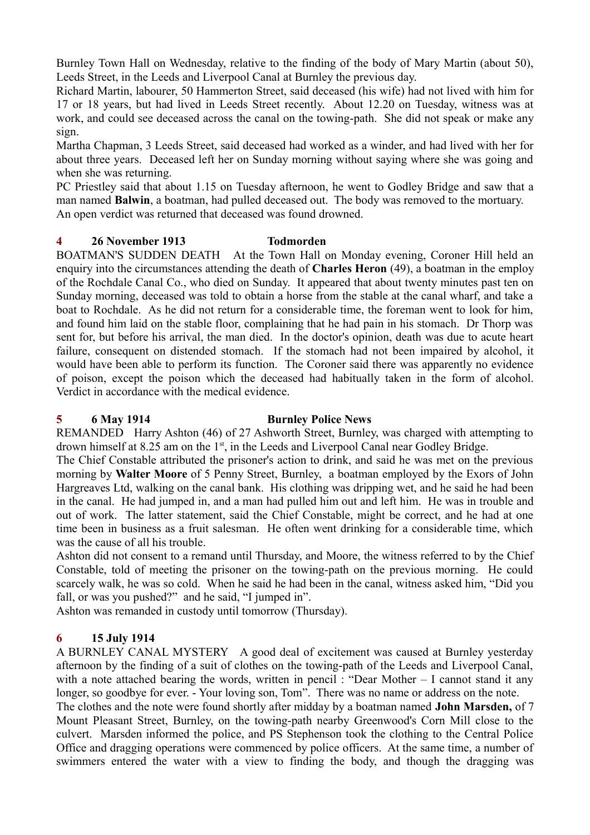Burnley Town Hall on Wednesday, relative to the finding of the body of Mary Martin (about 50), Leeds Street, in the Leeds and Liverpool Canal at Burnley the previous day.

Richard Martin, labourer, 50 Hammerton Street, said deceased (his wife) had not lived with him for 17 or 18 years, but had lived in Leeds Street recently. About 12.20 on Tuesday, witness was at work, and could see deceased across the canal on the towing-path. She did not speak or make any sign.

Martha Chapman, 3 Leeds Street, said deceased had worked as a winder, and had lived with her for about three years. Deceased left her on Sunday morning without saying where she was going and when she was returning.

PC Priestley said that about 1.15 on Tuesday afternoon, he went to Godley Bridge and saw that a man named **Balwin**, a boatman, had pulled deceased out. The body was removed to the mortuary. An open verdict was returned that deceased was found drowned.

#### **4 26 November 1913 Todmorden**

BOATMAN'S SUDDEN DEATH At the Town Hall on Monday evening, Coroner Hill held an enquiry into the circumstances attending the death of **Charles Heron** (49), a boatman in the employ of the Rochdale Canal Co., who died on Sunday. It appeared that about twenty minutes past ten on Sunday morning, deceased was told to obtain a horse from the stable at the canal wharf, and take a boat to Rochdale. As he did not return for a considerable time, the foreman went to look for him, and found him laid on the stable floor, complaining that he had pain in his stomach. Dr Thorp was sent for, but before his arrival, the man died. In the doctor's opinion, death was due to acute heart failure, consequent on distended stomach. If the stomach had not been impaired by alcohol, it would have been able to perform its function. The Coroner said there was apparently no evidence of poison, except the poison which the deceased had habitually taken in the form of alcohol. Verdict in accordance with the medical evidence.

#### **5 6 May 1914 Burnley Police News**

REMANDED Harry Ashton (46) of 27 Ashworth Street, Burnley, was charged with attempting to drown himself at 8.25 am on the 1st, in the Leeds and Liverpool Canal near Godley Bridge.

The Chief Constable attributed the prisoner's action to drink, and said he was met on the previous morning by **Walter Moore** of 5 Penny Street, Burnley, a boatman employed by the Exors of John Hargreaves Ltd, walking on the canal bank. His clothing was dripping wet, and he said he had been in the canal. He had jumped in, and a man had pulled him out and left him. He was in trouble and out of work. The latter statement, said the Chief Constable, might be correct, and he had at one time been in business as a fruit salesman. He often went drinking for a considerable time, which was the cause of all his trouble.

Ashton did not consent to a remand until Thursday, and Moore, the witness referred to by the Chief Constable, told of meeting the prisoner on the towing-path on the previous morning. He could scarcely walk, he was so cold. When he said he had been in the canal, witness asked him, "Did you fall, or was you pushed?" and he said, "I jumped in".

Ashton was remanded in custody until tomorrow (Thursday).

## **6 15 July 1914**

A BURNLEY CANAL MYSTERY A good deal of excitement was caused at Burnley yesterday afternoon by the finding of a suit of clothes on the towing-path of the Leeds and Liverpool Canal, with a note attached bearing the words, written in pencil : "Dear Mother – I cannot stand it any longer, so goodbye for ever. - Your loving son, Tom". There was no name or address on the note. The clothes and the note were found shortly after midday by a boatman named **John Marsden,** of 7 Mount Pleasant Street, Burnley, on the towing-path nearby Greenwood's Corn Mill close to the culvert. Marsden informed the police, and PS Stephenson took the clothing to the Central Police Office and dragging operations were commenced by police officers. At the same time, a number of swimmers entered the water with a view to finding the body, and though the dragging was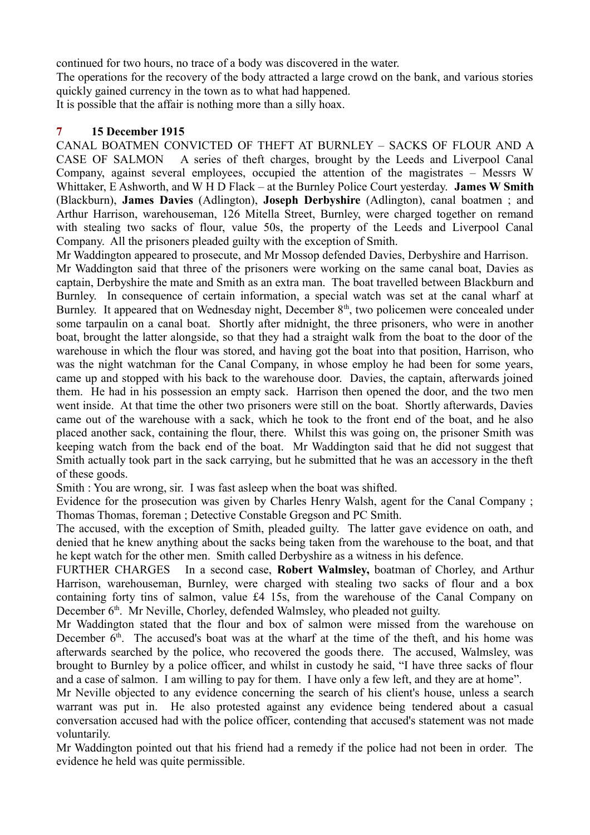continued for two hours, no trace of a body was discovered in the water.

The operations for the recovery of the body attracted a large crowd on the bank, and various stories quickly gained currency in the town as to what had happened.

It is possible that the affair is nothing more than a silly hoax.

## **7 15 December 1915**

CANAL BOATMEN CONVICTED OF THEFT AT BURNLEY – SACKS OF FLOUR AND A CASE OF SALMON A series of theft charges, brought by the Leeds and Liverpool Canal Company, against several employees, occupied the attention of the magistrates – Messrs W Whittaker, E Ashworth, and W H D Flack – at the Burnley Police Court yesterday. **James W Smith** (Blackburn), **James Davies** (Adlington), **Joseph Derbyshire** (Adlington), canal boatmen ; and Arthur Harrison, warehouseman, 126 Mitella Street, Burnley, were charged together on remand with stealing two sacks of flour, value 50s, the property of the Leeds and Liverpool Canal Company. All the prisoners pleaded guilty with the exception of Smith.

Mr Waddington appeared to prosecute, and Mr Mossop defended Davies, Derbyshire and Harrison.

Mr Waddington said that three of the prisoners were working on the same canal boat, Davies as captain, Derbyshire the mate and Smith as an extra man. The boat travelled between Blackburn and Burnley. In consequence of certain information, a special watch was set at the canal wharf at Burnley. It appeared that on Wednesday night, December  $8<sup>th</sup>$ , two policemen were concealed under some tarpaulin on a canal boat. Shortly after midnight, the three prisoners, who were in another boat, brought the latter alongside, so that they had a straight walk from the boat to the door of the warehouse in which the flour was stored, and having got the boat into that position, Harrison, who was the night watchman for the Canal Company, in whose employ he had been for some years, came up and stopped with his back to the warehouse door. Davies, the captain, afterwards joined them. He had in his possession an empty sack. Harrison then opened the door, and the two men went inside. At that time the other two prisoners were still on the boat. Shortly afterwards, Davies came out of the warehouse with a sack, which he took to the front end of the boat, and he also placed another sack, containing the flour, there. Whilst this was going on, the prisoner Smith was keeping watch from the back end of the boat. Mr Waddington said that he did not suggest that Smith actually took part in the sack carrying, but he submitted that he was an accessory in the theft of these goods.

Smith : You are wrong, sir. I was fast asleep when the boat was shifted.

Evidence for the prosecution was given by Charles Henry Walsh, agent for the Canal Company ; Thomas Thomas, foreman ; Detective Constable Gregson and PC Smith.

The accused, with the exception of Smith, pleaded guilty. The latter gave evidence on oath, and denied that he knew anything about the sacks being taken from the warehouse to the boat, and that he kept watch for the other men. Smith called Derbyshire as a witness in his defence.

FURTHER CHARGES In a second case, **Robert Walmsley,** boatman of Chorley, and Arthur Harrison, warehouseman, Burnley, were charged with stealing two sacks of flour and a box containing forty tins of salmon, value £4 15s, from the warehouse of the Canal Company on December  $6<sup>th</sup>$ . Mr Neville, Chorley, defended Walmsley, who pleaded not guilty.

Mr Waddington stated that the flour and box of salmon were missed from the warehouse on December  $6<sup>th</sup>$ . The accused's boat was at the wharf at the time of the theft, and his home was afterwards searched by the police, who recovered the goods there. The accused, Walmsley, was brought to Burnley by a police officer, and whilst in custody he said, "I have three sacks of flour and a case of salmon. I am willing to pay for them. I have only a few left, and they are at home".

Mr Neville objected to any evidence concerning the search of his client's house, unless a search warrant was put in. He also protested against any evidence being tendered about a casual conversation accused had with the police officer, contending that accused's statement was not made voluntarily.

Mr Waddington pointed out that his friend had a remedy if the police had not been in order. The evidence he held was quite permissible.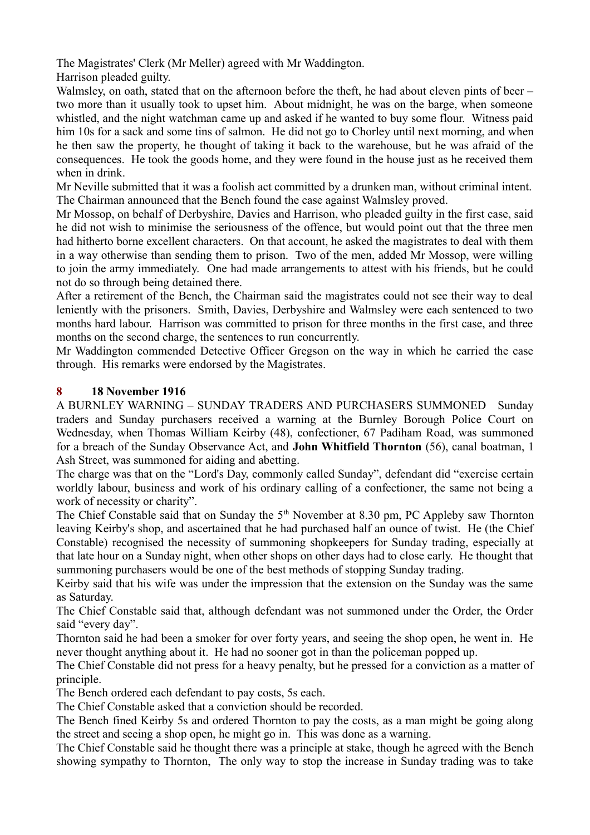The Magistrates' Clerk (Mr Meller) agreed with Mr Waddington.

Harrison pleaded guilty.

Walmsley, on oath, stated that on the afternoon before the theft, he had about eleven pints of beer – two more than it usually took to upset him. About midnight, he was on the barge, when someone whistled, and the night watchman came up and asked if he wanted to buy some flour. Witness paid him 10s for a sack and some tins of salmon. He did not go to Chorley until next morning, and when he then saw the property, he thought of taking it back to the warehouse, but he was afraid of the consequences. He took the goods home, and they were found in the house just as he received them when in drink.

Mr Neville submitted that it was a foolish act committed by a drunken man, without criminal intent. The Chairman announced that the Bench found the case against Walmsley proved.

Mr Mossop, on behalf of Derbyshire, Davies and Harrison, who pleaded guilty in the first case, said he did not wish to minimise the seriousness of the offence, but would point out that the three men had hitherto borne excellent characters. On that account, he asked the magistrates to deal with them in a way otherwise than sending them to prison. Two of the men, added Mr Mossop, were willing to join the army immediately. One had made arrangements to attest with his friends, but he could not do so through being detained there.

After a retirement of the Bench, the Chairman said the magistrates could not see their way to deal leniently with the prisoners. Smith, Davies, Derbyshire and Walmsley were each sentenced to two months hard labour. Harrison was committed to prison for three months in the first case, and three months on the second charge, the sentences to run concurrently.

Mr Waddington commended Detective Officer Gregson on the way in which he carried the case through. His remarks were endorsed by the Magistrates.

## **8 18 November 1916**

A BURNLEY WARNING – SUNDAY TRADERS AND PURCHASERS SUMMONED Sunday traders and Sunday purchasers received a warning at the Burnley Borough Police Court on Wednesday, when Thomas William Keirby (48), confectioner, 67 Padiham Road, was summoned for a breach of the Sunday Observance Act, and **John Whitfield Thornton** (56), canal boatman, 1 Ash Street, was summoned for aiding and abetting.

The charge was that on the "Lord's Day, commonly called Sunday", defendant did "exercise certain worldly labour, business and work of his ordinary calling of a confectioner, the same not being a work of necessity or charity".

The Chief Constable said that on Sunday the  $5<sup>th</sup>$  November at 8.30 pm, PC Appleby saw Thornton leaving Keirby's shop, and ascertained that he had purchased half an ounce of twist. He (the Chief Constable) recognised the necessity of summoning shopkeepers for Sunday trading, especially at that late hour on a Sunday night, when other shops on other days had to close early. He thought that summoning purchasers would be one of the best methods of stopping Sunday trading.

Keirby said that his wife was under the impression that the extension on the Sunday was the same as Saturday.

The Chief Constable said that, although defendant was not summoned under the Order, the Order said "every day".

Thornton said he had been a smoker for over forty years, and seeing the shop open, he went in. He never thought anything about it. He had no sooner got in than the policeman popped up.

The Chief Constable did not press for a heavy penalty, but he pressed for a conviction as a matter of principle.

The Bench ordered each defendant to pay costs, 5s each.

The Chief Constable asked that a conviction should be recorded.

The Bench fined Keirby 5s and ordered Thornton to pay the costs, as a man might be going along the street and seeing a shop open, he might go in. This was done as a warning.

The Chief Constable said he thought there was a principle at stake, though he agreed with the Bench showing sympathy to Thornton, The only way to stop the increase in Sunday trading was to take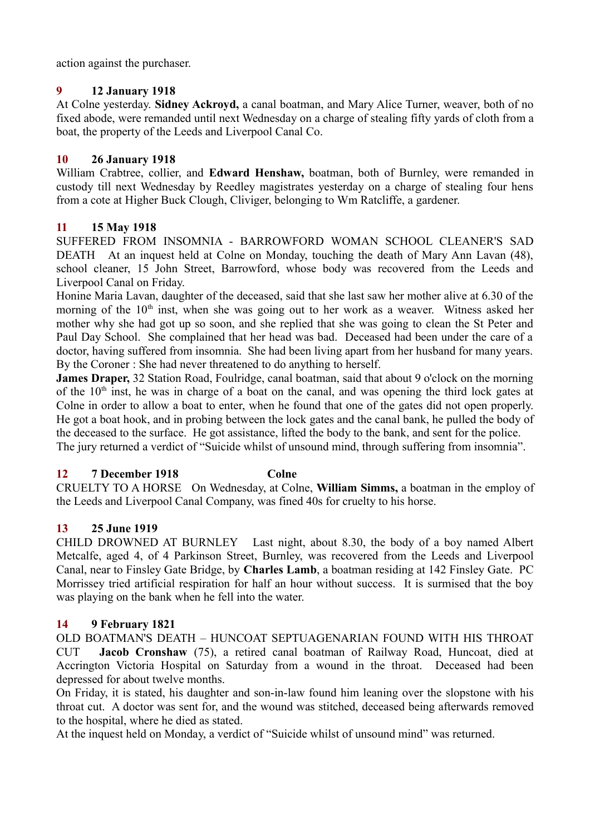action against the purchaser.

## **9 12 January 1918**

At Colne yesterday. **Sidney Ackroyd,** a canal boatman, and Mary Alice Turner, weaver, both of no fixed abode, were remanded until next Wednesday on a charge of stealing fifty yards of cloth from a boat, the property of the Leeds and Liverpool Canal Co.

## **10 26 January 1918**

William Crabtree, collier, and **Edward Henshaw,** boatman, both of Burnley, were remanded in custody till next Wednesday by Reedley magistrates yesterday on a charge of stealing four hens from a cote at Higher Buck Clough, Cliviger, belonging to Wm Ratcliffe, a gardener.

## **11 15 May 1918**

SUFFERED FROM INSOMNIA - BARROWFORD WOMAN SCHOOL CLEANER'S SAD DEATH At an inquest held at Colne on Monday, touching the death of Mary Ann Lavan (48), school cleaner, 15 John Street, Barrowford, whose body was recovered from the Leeds and Liverpool Canal on Friday.

Honine Maria Lavan, daughter of the deceased, said that she last saw her mother alive at 6.30 of the morning of the  $10<sup>th</sup>$  inst, when she was going out to her work as a weaver. Witness asked her mother why she had got up so soon, and she replied that she was going to clean the St Peter and Paul Day School. She complained that her head was bad. Deceased had been under the care of a doctor, having suffered from insomnia. She had been living apart from her husband for many years. By the Coroner : She had never threatened to do anything to herself.

**James Draper,** 32 Station Road, Foulridge, canal boatman, said that about 9 o'clock on the morning of the  $10<sup>th</sup>$  inst, he was in charge of a boat on the canal, and was opening the third lock gates at Colne in order to allow a boat to enter, when he found that one of the gates did not open properly. He got a boat hook, and in probing between the lock gates and the canal bank, he pulled the body of the deceased to the surface. He got assistance, lifted the body to the bank, and sent for the police. The jury returned a verdict of "Suicide whilst of unsound mind, through suffering from insomnia".

# **12 7 December 1918 Colne**

CRUELTY TO A HORSE On Wednesday, at Colne, **William Simms,** a boatman in the employ of the Leeds and Liverpool Canal Company, was fined 40s for cruelty to his horse.

# **13 25 June 1919**

CHILD DROWNED AT BURNLEY Last night, about 8.30, the body of a boy named Albert Metcalfe, aged 4, of 4 Parkinson Street, Burnley, was recovered from the Leeds and Liverpool Canal, near to Finsley Gate Bridge, by **Charles Lamb**, a boatman residing at 142 Finsley Gate. PC Morrissey tried artificial respiration for half an hour without success. It is surmised that the boy was playing on the bank when he fell into the water.

## **14 9 February 1821**

OLD BOATMAN'S DEATH – HUNCOAT SEPTUAGENARIAN FOUND WITH HIS THROAT CUT **Jacob Cronshaw** (75), a retired canal boatman of Railway Road, Huncoat, died at Accrington Victoria Hospital on Saturday from a wound in the throat. Deceased had been depressed for about twelve months.

On Friday, it is stated, his daughter and son-in-law found him leaning over the slopstone with his throat cut. A doctor was sent for, and the wound was stitched, deceased being afterwards removed to the hospital, where he died as stated.

At the inquest held on Monday, a verdict of "Suicide whilst of unsound mind" was returned.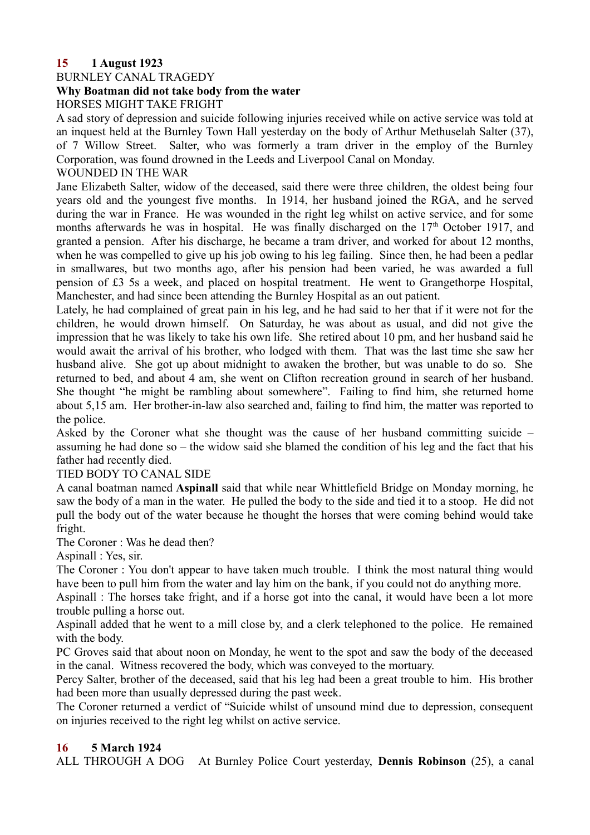## **15 1 August 1923**

## BURNLEY CANAL TRAGEDY **Why Boatman did not take body from the water** HORSES MIGHT TAKE FRIGHT

A sad story of depression and suicide following injuries received while on active service was told at an inquest held at the Burnley Town Hall yesterday on the body of Arthur Methuselah Salter (37), of 7 Willow Street. Salter, who was formerly a tram driver in the employ of the Burnley Corporation, was found drowned in the Leeds and Liverpool Canal on Monday. WOUNDED IN THE WAR

## Jane Elizabeth Salter, widow of the deceased, said there were three children, the oldest being four years old and the youngest five months. In 1914, her husband joined the RGA, and he served during the war in France. He was wounded in the right leg whilst on active service, and for some months afterwards he was in hospital. He was finally discharged on the  $17<sup>th</sup>$  October 1917, and granted a pension. After his discharge, he became a tram driver, and worked for about 12 months, when he was compelled to give up his job owing to his leg failing. Since then, he had been a pedlar in smallwares, but two months ago, after his pension had been varied, he was awarded a full pension of £3 5s a week, and placed on hospital treatment. He went to Grangethorpe Hospital, Manchester, and had since been attending the Burnley Hospital as an out patient.

Lately, he had complained of great pain in his leg, and he had said to her that if it were not for the children, he would drown himself. On Saturday, he was about as usual, and did not give the impression that he was likely to take his own life. She retired about 10 pm, and her husband said he would await the arrival of his brother, who lodged with them. That was the last time she saw her husband alive. She got up about midnight to awaken the brother, but was unable to do so. She returned to bed, and about 4 am, she went on Clifton recreation ground in search of her husband. She thought "he might be rambling about somewhere". Failing to find him, she returned home about 5,15 am. Her brother-in-law also searched and, failing to find him, the matter was reported to the police.

Asked by the Coroner what she thought was the cause of her husband committing suicide – assuming he had done so – the widow said she blamed the condition of his leg and the fact that his father had recently died.

## TIED BODY TO CANAL SIDE

A canal boatman named **Aspinall** said that while near Whittlefield Bridge on Monday morning, he saw the body of a man in the water. He pulled the body to the side and tied it to a stoop. He did not pull the body out of the water because he thought the horses that were coming behind would take fright.

## The Coroner : Was he dead then?

Aspinall : Yes, sir.

The Coroner : You don't appear to have taken much trouble. I think the most natural thing would have been to pull him from the water and lay him on the bank, if you could not do anything more.

Aspinall : The horses take fright, and if a horse got into the canal, it would have been a lot more trouble pulling a horse out.

Aspinall added that he went to a mill close by, and a clerk telephoned to the police. He remained with the body.

PC Groves said that about noon on Monday, he went to the spot and saw the body of the deceased in the canal. Witness recovered the body, which was conveyed to the mortuary.

Percy Salter, brother of the deceased, said that his leg had been a great trouble to him. His brother had been more than usually depressed during the past week.

The Coroner returned a verdict of "Suicide whilst of unsound mind due to depression, consequent on injuries received to the right leg whilst on active service.

## **16 5 March 1924**

ALL THROUGH A DOG At Burnley Police Court yesterday, **Dennis Robinson** (25), a canal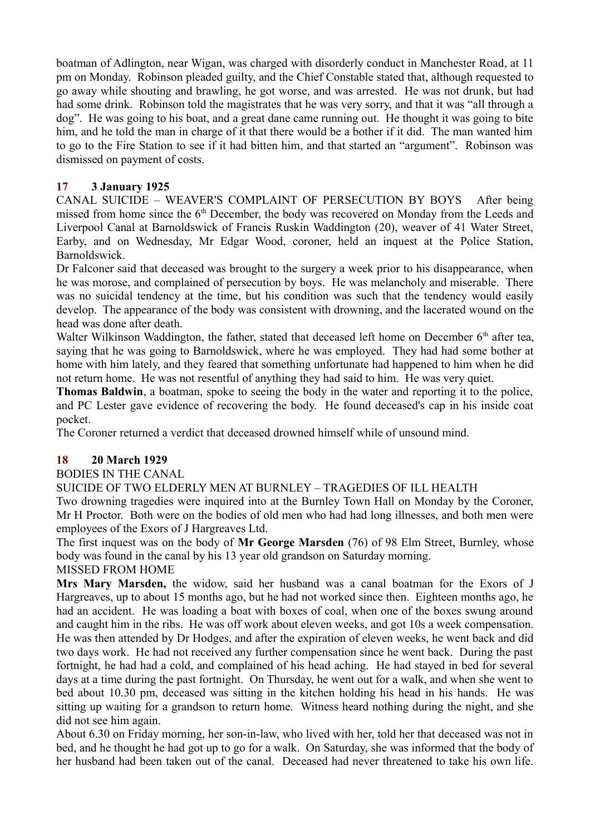boatman of Adlington, near Wigan, was charged with disorderly conduct in Manchester Road, at 11 pm on Monday. Robinson pleaded guilty, and the Chief Constable stated that, although requested to go away while shouting and brawling, he got worse, and was arrested. He was not drunk, but had had some drink. Robinson told the magistrates that he was very sorry, and that it was "all through a dog". He was going to his boat, and a great dane came running out. He thought it was going to bite him, and he told the man in charge of it that there would be a bother if it did. The man wanted him to go to the Fire Station to see if it had bitten him, and that started an "argument". Robinson was dismissed on payment of costs.

# **17 3 January 1925**

CANAL SUICIDE – WEAVER'S COMPLAINT OF PERSECUTION BY BOYS After being missed from home since the 6<sup>th</sup> December, the body was recovered on Monday from the Leeds and Liverpool Canal at Barnoldswick of Francis Ruskin Waddington (20), weaver of 41 Water Street, Earby, and on Wednesday, Mr Edgar Wood, coroner, held an inquest at the Police Station, Barnoldswick.

Dr Falconer said that deceased was brought to the surgery a week prior to his disappearance, when he was morose, and complained of persecution by boys. He was melancholy and miserable. There was no suicidal tendency at the time, but his condition was such that the tendency would easily develop. The appearance of the body was consistent with drowning, and the lacerated wound on the head was done after death.

Walter Wilkinson Waddington, the father, stated that deceased left home on December  $6<sup>th</sup>$  after tea, saying that he was going to Barnoldswick, where he was employed. They had had some bother at home with him lately, and they feared that something unfortunate had happened to him when he did not return home. He was not resentful of anything they had said to him. He was very quiet.

**Thomas Baldwin**, a boatman, spoke to seeing the body in the water and reporting it to the police, and PC Lester gave evidence of recovering the body. He found deceased's cap in his inside coat pocket.

The Coroner returned a verdict that deceased drowned himself while of unsound mind.

# **18 20 March 1929**

BODIES IN THE CANAL

SUICIDE OF TWO ELDERLY MEN AT BURNLEY – TRAGEDIES OF ILL HEALTH

Two drowning tragedies were inquired into at the Burnley Town Hall on Monday by the Coroner, Mr H Proctor. Both were on the bodies of old men who had had long illnesses, and both men were employees of the Exors of J Hargreaves Ltd.

The first inquest was on the body of **Mr George Marsden** (76) of 98 Elm Street, Burnley, whose body was found in the canal by his 13 year old grandson on Saturday morning.

MISSED FROM HOME

**Mrs Mary Marsden,** the widow, said her husband was a canal boatman for the Exors of J Hargreaves, up to about 15 months ago, but he had not worked since then. Eighteen months ago, he had an accident. He was loading a boat with boxes of coal, when one of the boxes swung around and caught him in the ribs. He was off work about eleven weeks, and got 10s a week compensation. He was then attended by Dr Hodges, and after the expiration of eleven weeks, he went back and did two days work. He had not received any further compensation since he went back. During the past fortnight, he had had a cold, and complained of his head aching. He had stayed in bed for several days at a time during the past fortnight. On Thursday, he went out for a walk, and when she went to bed about 10.30 pm, deceased was sitting in the kitchen holding his head in his hands. He was sitting up waiting for a grandson to return home. Witness heard nothing during the night, and she did not see him again.

About 6.30 on Friday morning, her son-in-law, who lived with her, told her that deceased was not in bed, and he thought he had got up to go for a walk. On Saturday, she was informed that the body of her husband had been taken out of the canal. Deceased had never threatened to take his own life.